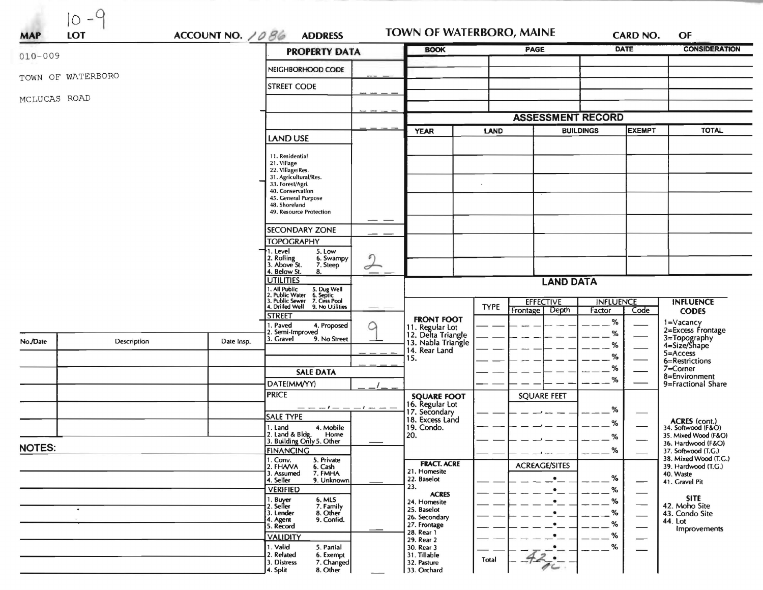| LOT<br><b>MAP</b> | $10 - 9$    | ACCOUNT NO. 1086                                                                                                    | <b>ADDRESS</b>                                                                                                    | <b>TOWN OF WATERBORO, MAINE</b>                             |                         |                                   |                            | <b>CARD NO.</b> | OF                                                             |
|-------------------|-------------|---------------------------------------------------------------------------------------------------------------------|-------------------------------------------------------------------------------------------------------------------|-------------------------------------------------------------|-------------------------|-----------------------------------|----------------------------|-----------------|----------------------------------------------------------------|
| $010 - 009$       |             |                                                                                                                     | <b>PROPERTY DATA</b>                                                                                              | <b>BOOK</b>                                                 |                         | <b>PAGE</b>                       |                            | <b>DATE</b>     | <b>CONSIDERATION</b>                                           |
|                   |             |                                                                                                                     | NEIGHBORHOOD CODE                                                                                                 |                                                             |                         |                                   |                            |                 |                                                                |
| TOWN OF WATERBORO |             |                                                                                                                     | <b>STREET CODE</b>                                                                                                |                                                             |                         |                                   |                            |                 |                                                                |
| MCLUCAS ROAD      |             |                                                                                                                     |                                                                                                                   |                                                             |                         |                                   |                            |                 |                                                                |
|                   |             |                                                                                                                     |                                                                                                                   |                                                             |                         | <b>ASSESSMENT RECORD</b>          |                            |                 |                                                                |
|                   |             |                                                                                                                     |                                                                                                                   | <b>YEAR</b>                                                 | <b>LAND</b>             |                                   | EXEMPT<br><b>BUILDINGS</b> |                 | <b>TOTAL</b>                                                   |
|                   |             |                                                                                                                     | LAND USE                                                                                                          |                                                             |                         |                                   |                            |                 |                                                                |
|                   |             | 11. Residential<br>21. Village<br>22. Village/Res.<br>31. Agricultural/Res.<br>33. Forest/Agri.<br>40. Conservation |                                                                                                                   | $\mathbf{r}$                                                |                         |                                   |                            |                 |                                                                |
|                   |             |                                                                                                                     | 45. General Purpose<br>48. Shoreland<br>49. Resource Protection                                                   |                                                             |                         |                                   |                            |                 |                                                                |
|                   |             |                                                                                                                     | <b>SECONDARY ZONE</b><br><b>TOPOGRAPHY</b>                                                                        |                                                             |                         |                                   |                            |                 |                                                                |
|                   |             |                                                                                                                     | 1. Level<br>5. Low<br>2. Rolling<br>3. Above St.<br>ุค<br>6. Swampy<br>7. Steep<br>$\sigma$<br>4. Below St.<br>8. |                                                             |                         |                                   |                            |                 |                                                                |
|                   |             | <b>UTILITIES</b>                                                                                                    |                                                                                                                   | <b>LAND DATA</b>                                            |                         |                                   |                            |                 |                                                                |
|                   |             |                                                                                                                     | 1. All Public<br>2. Public Water 6. Septic<br>3. Public Sewer 7. Cess Pool<br>4. Drilled Well 9. No Utilities     |                                                             | <b>EFFECTIVE</b>        |                                   | <b>INFLUENCE</b>           |                 | <b>INFLUENCE</b>                                               |
|                   |             |                                                                                                                     | <b>STREET</b>                                                                                                     | <b>FRONT FOOT</b>                                           | <b>TYPE</b><br>Frontage | Depth                             | Factor                     | Code            | <b>CODES</b>                                                   |
| No./Date          | Description | Date Insp.                                                                                                          | 1. Paved<br>4. Proposed<br>Q<br>2. Semi-Improved<br>3. Gravel<br>9. No Street                                     | 11. Regular Lot<br>12. Delta Triangle<br>13. Nabla Triangle |                         |                                   | %<br>%                     |                 | 1=Vacancy<br>2=Excess Frontage<br>3=Topography<br>4=Size/Shape |
|                   |             |                                                                                                                     |                                                                                                                   | 14. Rear Land<br>15.                                        |                         |                                   | %<br>%                     |                 | 5=Access<br>6=Restrictions                                     |
|                   |             |                                                                                                                     | <b>SALE DATA</b>                                                                                                  |                                                             |                         | %                                 |                            | 7=Corner        |                                                                |
|                   |             |                                                                                                                     | DATE(MM/YY)                                                                                                       |                                                             |                         |                                   | $\%$                       |                 | 8=Environment<br>9=Fractional Share                            |
|                   |             |                                                                                                                     | <b>PRICE</b>                                                                                                      | <b>SQUARE FOOT</b>                                          |                         | <b>SQUARE FEET</b>                |                            |                 |                                                                |
|                   |             |                                                                                                                     | $-1 -$<br>— — — 1 — —<br><b>SALE TYPE</b>                                                                         | 16. Regular Lot<br>17. Secondary<br>18. Excess Land         |                         |                                   | %                          |                 |                                                                |
|                   |             |                                                                                                                     | 4. Mobile<br>1. Land<br>2. Land & Bldg.<br>Home                                                                   | 19. Condo.<br>20.                                           |                         |                                   | %                          |                 | ACRES (cont.)<br>34. Softwood (F&O)<br>35. Mixed Wood (F&O)    |
| <b>NOTES:</b>     |             |                                                                                                                     | 3. Building Only 5. Other                                                                                         |                                                             |                         |                                   | %<br>%                     |                 | 36. Hardwood (F&O)                                             |
|                   |             |                                                                                                                     | <b>FINANCING</b><br>5. Private<br>1. Conv.<br>2. FHA/VA                                                           | <b>FRACT. ACRE</b>                                          |                         |                                   |                            |                 | 37. Softwood (T.G.)<br>38. Mixed Wood (T.G.)                   |
|                   |             |                                                                                                                     | 6. Cash<br>7. FMHA<br>3. Assumed<br>9. Unknown<br>4. Seller                                                       | 21. Homesite<br>22. Baselot                                 |                         | <b>ACREAGE/SITES</b><br>$\bullet$ | %                          | —               | 39. Hardwood (T.G.)<br>40. Waste<br>41. Gravel Pit             |
|                   |             |                                                                                                                     | <b>VERIFIED</b><br>6. MLS                                                                                         | 23.<br><b>ACRES</b>                                         |                         |                                   | %<br>%                     |                 | <b>SITE</b>                                                    |
|                   |             |                                                                                                                     | 1. Buyer<br>2. Seller<br>7. Family<br>3. Lender<br>8. Other                                                       | 24. Homesite<br>25. Baselot                                 |                         |                                   | %                          |                 | 42. Moho Site<br>43. Condo Site                                |
|                   |             |                                                                                                                     | 9. Confid.<br>4. Agent<br>5. Record                                                                               | 26. Secondary<br>27. Frontage                               |                         |                                   | %                          |                 | 44. Lot<br>Improvements                                        |
|                   |             |                                                                                                                     | <b>VALIDITY</b>                                                                                                   | 28. Rear 1<br>29. Rear 2                                    |                         |                                   | %                          |                 |                                                                |
|                   |             |                                                                                                                     | 1. Valid<br>5. Partial<br>2. Related<br>6. Exempt<br>7. Changed<br>3. Distress<br>8. Other<br>4. Split            | 30. Rear 3<br>31. Tillable<br>32. Pasture<br>33. Orchard    | Total                   |                                   | %                          |                 |                                                                |